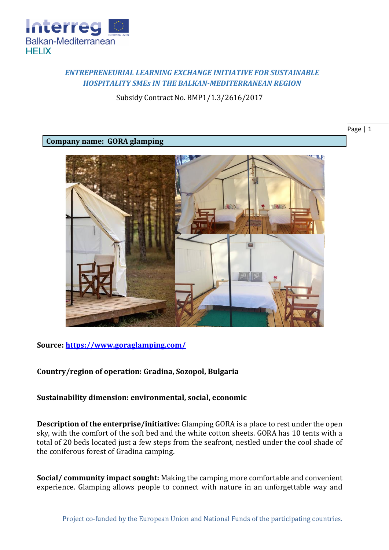

# *ENTREPRENEURIAL LEARNING EXCHANGE INITIATIVE FOR SUSTAINABLE HOSPITALITY SMEs IN THE BALKAN-MEDITERRANEAN REGION*

Subsidy Contract No. BMP1/1.3/2616/2017

### **Company name: GORA glamping**



## **Source:<https://www.goraglamping.com/>**

## **Country/region of operation: Gradina, Sozopol, Bulgaria**

## **Sustainability dimension: environmental, social, economic**

**Description of the enterprise/initiative:** Glamping GORA is a place to rest under the open sky, with the comfort of the soft bed and the white cotton sheets. GORA has 10 tents with a total of 20 beds located just a few steps from the seafront, nestled under the cool shade of the coniferous forest of Gradina camping.

**Social/ community impact sought:** Making the camping more comfortable and convenient experience. Glamping allows people to connect with nature in an unforgettable way and

Page | 1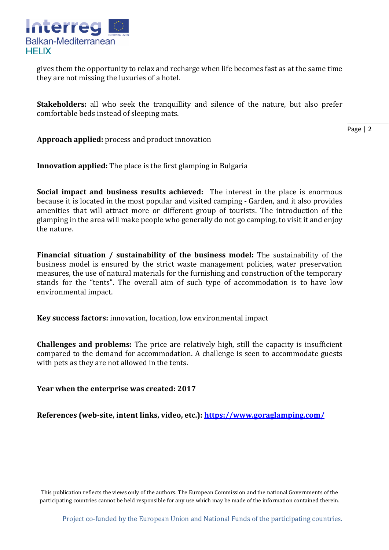

gives them the opportunity to relax and recharge when life becomes fast as at the same time they are not missing the luxuries of a hotel.

**Stakeholders:** all who seek the tranquillity and silence of the nature, but also prefer comfortable beds instead of sleeping mats.

Page | 2

**Approach applied:** process and product innovation

**Innovation applied:** The place is the first glamping in Bulgaria

**Social impact and business results achieved:** The interest in the place is enormous because it is located in the most popular and visited camping - Garden, and it also provides amenities that will attract more or different group of tourists. The introduction of the glamping in the area will make people who generally do not go camping, to visit it and enjoy the nature.

**Financial situation / sustainability of the business model:** The sustainability of the business model is ensured by the strict waste management policies, water preservation measures, the use of natural materials for the furnishing and construction of the temporary stands for the "tents". The overall aim of such type of accommodation is to have low environmental impact.

**Key success factors:** innovation, location, low environmental impact

**Challenges and problems:** The price are relatively high, still the capacity is insufficient compared to the demand for accommodation. A challenge is seen to accommodate guests with pets as they are not allowed in the tents.

**Year when the enterprise was created: 2017**

**References (web-site, intent links, video, etc.): <https://www.goraglamping.com/>**

This publication reflects the views only of the authors. The European Commission and the national Governments of the participating countries cannot be held responsible for any use which may be made of the information contained therein.